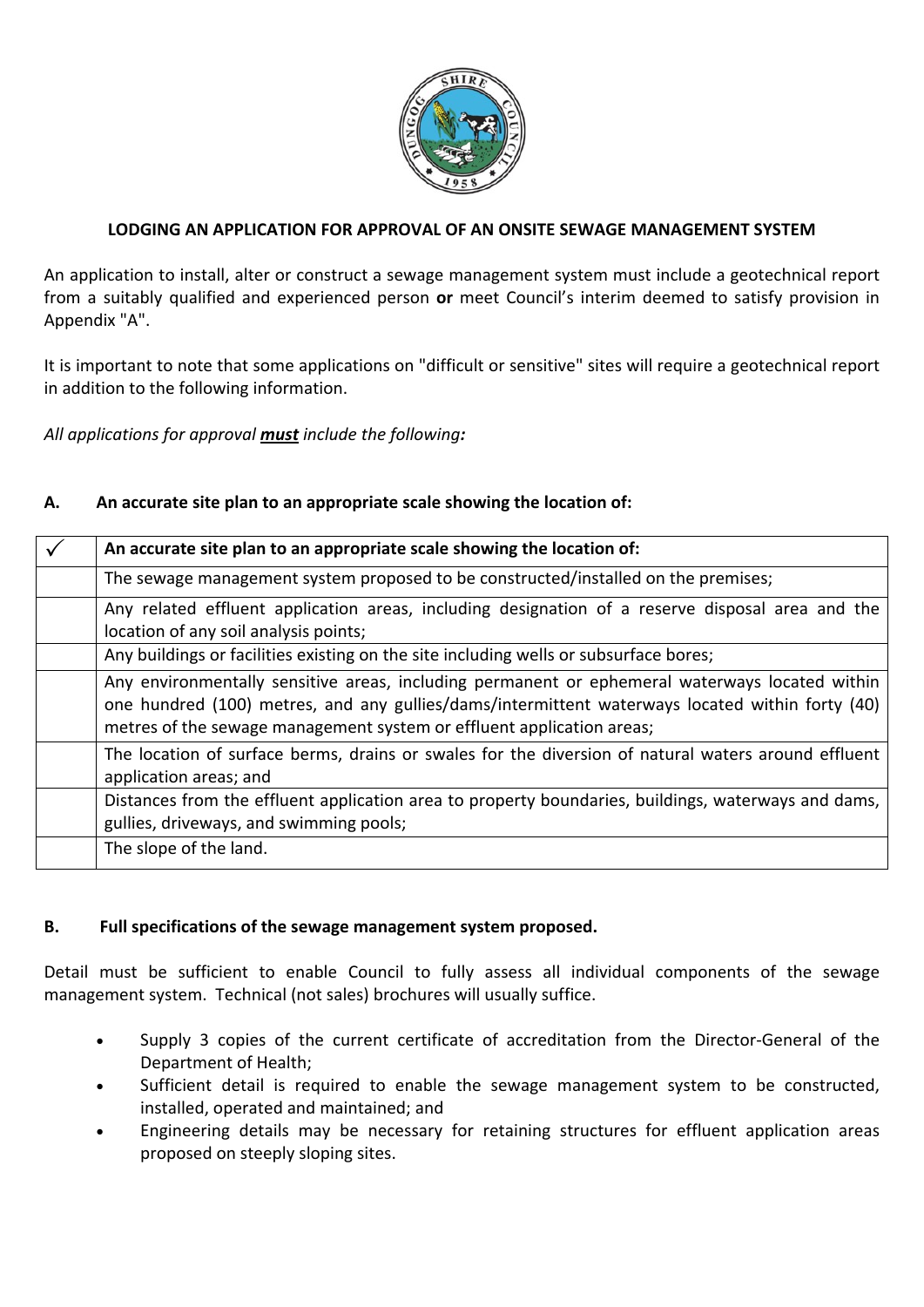

### **LODGING AN APPLICATION FOR APPROVAL OF AN ONSITE SEWAGE MANAGEMENT SYSTEM**

An application to install, alter or construct a sewage management system must include a geotechnical report from a suitably qualified and experienced person **or** meet Council's interim deemed to satisfy provision in Appendix "A".

It is important to note that some applications on "difficult or sensitive" sites will require a geotechnical report in addition to the following information.

*All applications for approval must include the following:*

### **A. An accurate site plan to an appropriate scale showing the location of:**

| An accurate site plan to an appropriate scale showing the location of:                                                                                                                                                                                                     |
|----------------------------------------------------------------------------------------------------------------------------------------------------------------------------------------------------------------------------------------------------------------------------|
| The sewage management system proposed to be constructed/installed on the premises;                                                                                                                                                                                         |
| Any related effluent application areas, including designation of a reserve disposal area and the<br>location of any soil analysis points;                                                                                                                                  |
| Any buildings or facilities existing on the site including wells or subsurface bores;                                                                                                                                                                                      |
| Any environmentally sensitive areas, including permanent or ephemeral waterways located within<br>one hundred (100) metres, and any gullies/dams/intermittent waterways located within forty (40)<br>metres of the sewage management system or effluent application areas; |
| The location of surface berms, drains or swales for the diversion of natural waters around effluent<br>application areas; and                                                                                                                                              |
| Distances from the effluent application area to property boundaries, buildings, waterways and dams,<br>gullies, driveways, and swimming pools;                                                                                                                             |
| The slope of the land.                                                                                                                                                                                                                                                     |

### **B. Full specifications of the sewage management system proposed.**

Detail must be sufficient to enable Council to fully assess all individual components of the sewage management system. Technical (not sales) brochures will usually suffice.

- Supply 3 copies of the current certificate of accreditation from the Director‐General of the Department of Health;
- Sufficient detail is required to enable the sewage management system to be constructed, installed, operated and maintained; and
- Engineering details may be necessary for retaining structures for effluent application areas proposed on steeply sloping sites.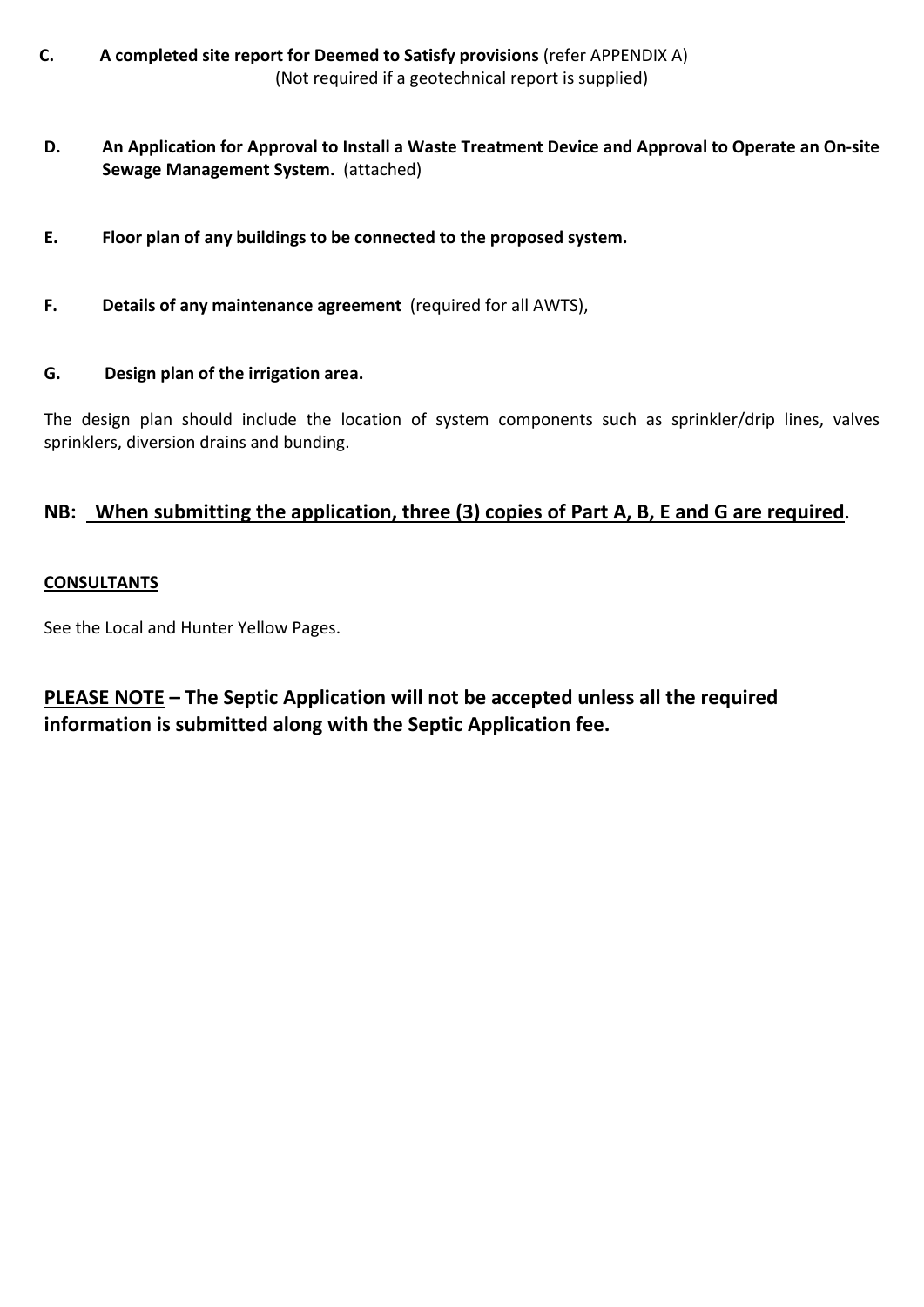- **C. A completed site report for Deemed to Satisfy provisions** (refer APPENDIX A) (Not required if a geotechnical report is supplied)
- D. An Application for Approval to Install a Waste Treatment Device and Approval to Operate an On-site **Sewage Management System.** (attached)
- **E. Floor plan of any buildings to be connected to the proposed system.**
- **F. Details of any maintenance agreement** (required for all AWTS),

### **G. Design plan of the irrigation area.**

The design plan should include the location of system components such as sprinkler/drip lines, valves sprinklers, diversion drains and bunding.

## **NB: When submitting the application, three (3) copies of Part A, B, E and G are required.**

### **CONSULTANTS**

See the Local and Hunter Yellow Pages.

**PLEASE NOTE – The Septic Application will not be accepted unless all the required information is submitted along with the Septic Application fee.**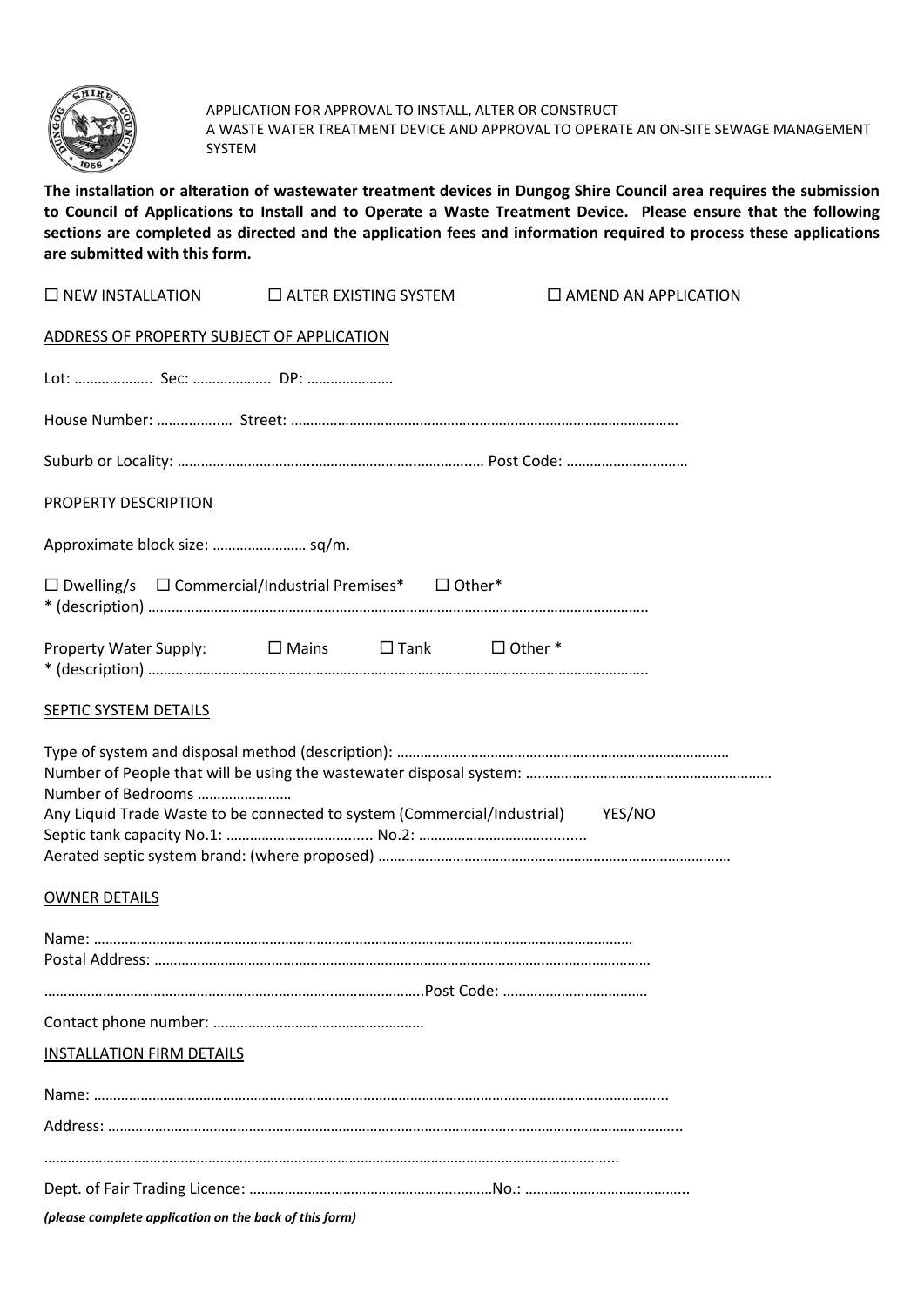

APPLICATION FOR APPROVAL TO INSTALL, ALTER OR CONSTRUCT A WASTE WATER TREATMENT DEVICE AND APPROVAL TO OPERATE AN ON‐SITE SEWAGE MANAGEMENT SYSTEM

The installation or alteration of wastewater treatment devices in Dungog Shire Council area requires the submission to Council of Applications to Install and to Operate a Waste Treatment Device. Please ensure that the following sections are completed as directed and the application fees and information required to process these applications **are submitted with this form.**

| $\square$ NEW INSTALLATION                                                                            |  | $\square$ ALTER EXISTING SYSTEM |  | $\square$ AMEND AN APPLICATION |
|-------------------------------------------------------------------------------------------------------|--|---------------------------------|--|--------------------------------|
| ADDRESS OF PROPERTY SUBJECT OF APPLICATION                                                            |  |                                 |  |                                |
|                                                                                                       |  |                                 |  |                                |
|                                                                                                       |  |                                 |  |                                |
|                                                                                                       |  |                                 |  |                                |
| <b>PROPERTY DESCRIPTION</b>                                                                           |  |                                 |  |                                |
|                                                                                                       |  |                                 |  |                                |
| $\Box$ Dwelling/s $\Box$ Commercial/Industrial Premises* $\Box$ Other*                                |  |                                 |  |                                |
| Property Water Supply: □ Mains □ Tank □ Other *                                                       |  |                                 |  |                                |
| SEPTIC SYSTEM DETAILS                                                                                 |  |                                 |  |                                |
| Number of Bedrooms<br>Any Liquid Trade Waste to be connected to system (Commercial/Industrial) YES/NO |  |                                 |  |                                |
| <b>OWNER DETAILS</b>                                                                                  |  |                                 |  |                                |
|                                                                                                       |  |                                 |  |                                |
|                                                                                                       |  |                                 |  |                                |
|                                                                                                       |  |                                 |  |                                |
| <b>INSTALLATION FIRM DETAILS</b>                                                                      |  |                                 |  |                                |
|                                                                                                       |  |                                 |  |                                |
|                                                                                                       |  |                                 |  |                                |
|                                                                                                       |  |                                 |  |                                |
| (please complete application on the back of this form)                                                |  |                                 |  |                                |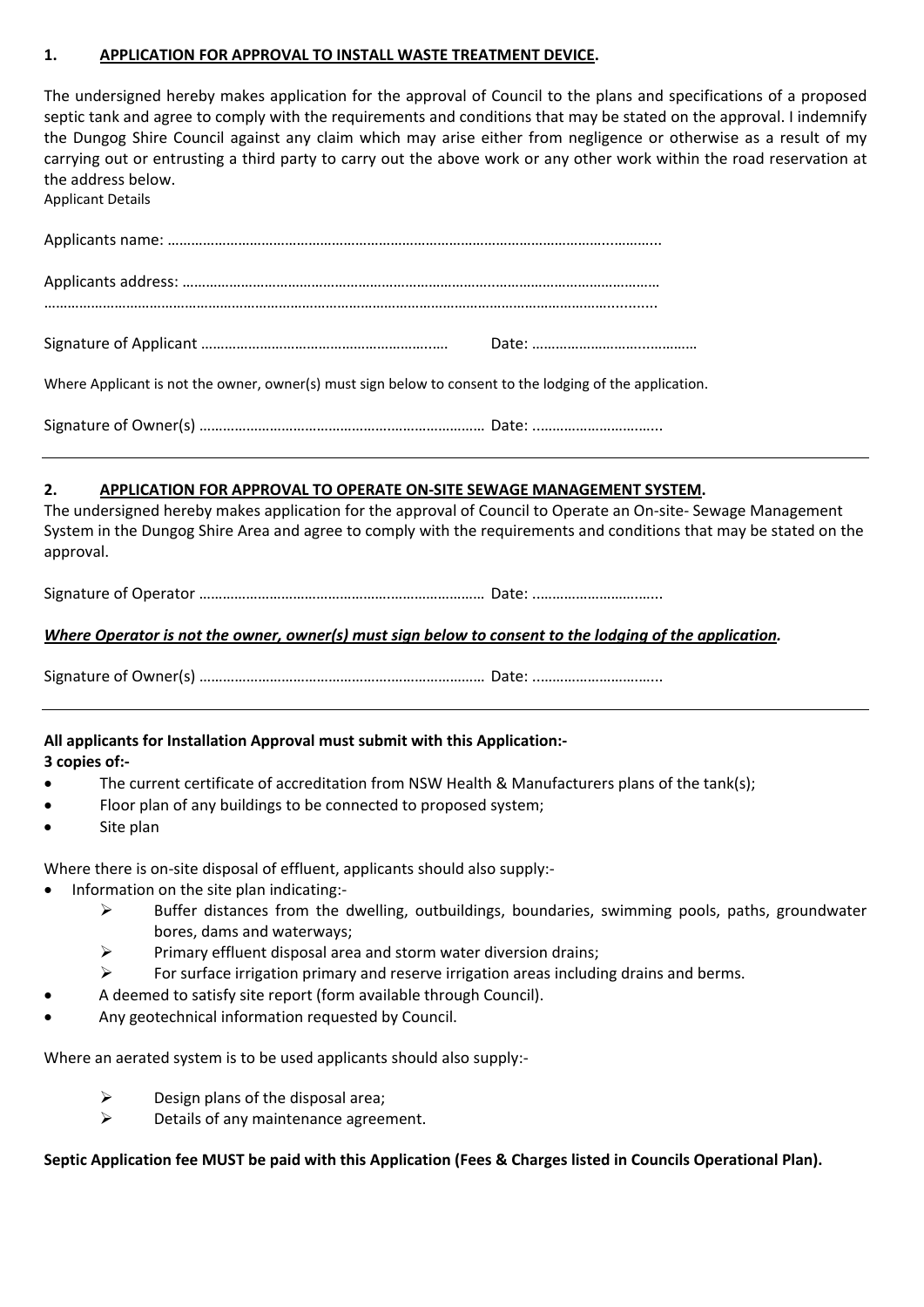### **1. APPLICATION FOR APPROVAL TO INSTALL WASTE TREATMENT DEVICE.**

The undersigned hereby makes application for the approval of Council to the plans and specifications of a proposed septic tank and agree to comply with the requirements and conditions that may be stated on the approval. I indemnify the Dungog Shire Council against any claim which may arise either from negligence or otherwise as a result of my carrying out or entrusting a third party to carry out the above work or any other work within the road reservation at the address below. Applicant Details

| Where Applicant is not the owner, owner(s) must sign below to consent to the lodging of the application. |  |
|----------------------------------------------------------------------------------------------------------|--|

Signature of Owner(s) ………………………………………….…………………… Date: ..…………………….…...

### **2. APPLICATION FOR APPROVAL TO OPERATE ON‐SITE SEWAGE MANAGEMENT SYSTEM.**

The undersigned hereby makes application for the approval of Council to Operate an On‐site‐ Sewage Management System in the Dungog Shire Area and agree to comply with the requirements and conditions that may be stated on the approval.

Signature of Operator ………………………………………….…………………… Date: ..…………………….…...

### Where Operator is not the owner, owner(s) must sign below to consent to the lodging of the application.

Signature of Owner(s) ………………………………………….…………………… Date: ..…………………….…...

**All applicants for Installation Approval must submit with this Application:‐ 3 copies of:‐** 

- The current certificate of accreditation from NSW Health & Manufacturers plans of the tank(s);
- Floor plan of any buildings to be connected to proposed system;
- Site plan

Where there is on-site disposal of effluent, applicants should also supply:-

- Information on the site plan indicating:‐
	- $\triangleright$  Buffer distances from the dwelling, outbuildings, boundaries, swimming pools, paths, groundwater bores, dams and waterways;
	- $\triangleright$  Primary effluent disposal area and storm water diversion drains;
	- $\triangleright$  For surface irrigation primary and reserve irrigation areas including drains and berms.
- A deemed to satisfy site report (form available through Council).
- Any geotechnical information requested by Council.

Where an aerated system is to be used applicants should also supply:-

- $\triangleright$  Design plans of the disposal area;
- $\triangleright$  Details of any maintenance agreement.

### Septic Application fee MUST be paid with this Application (Fees & Charges listed in Councils Operational Plan).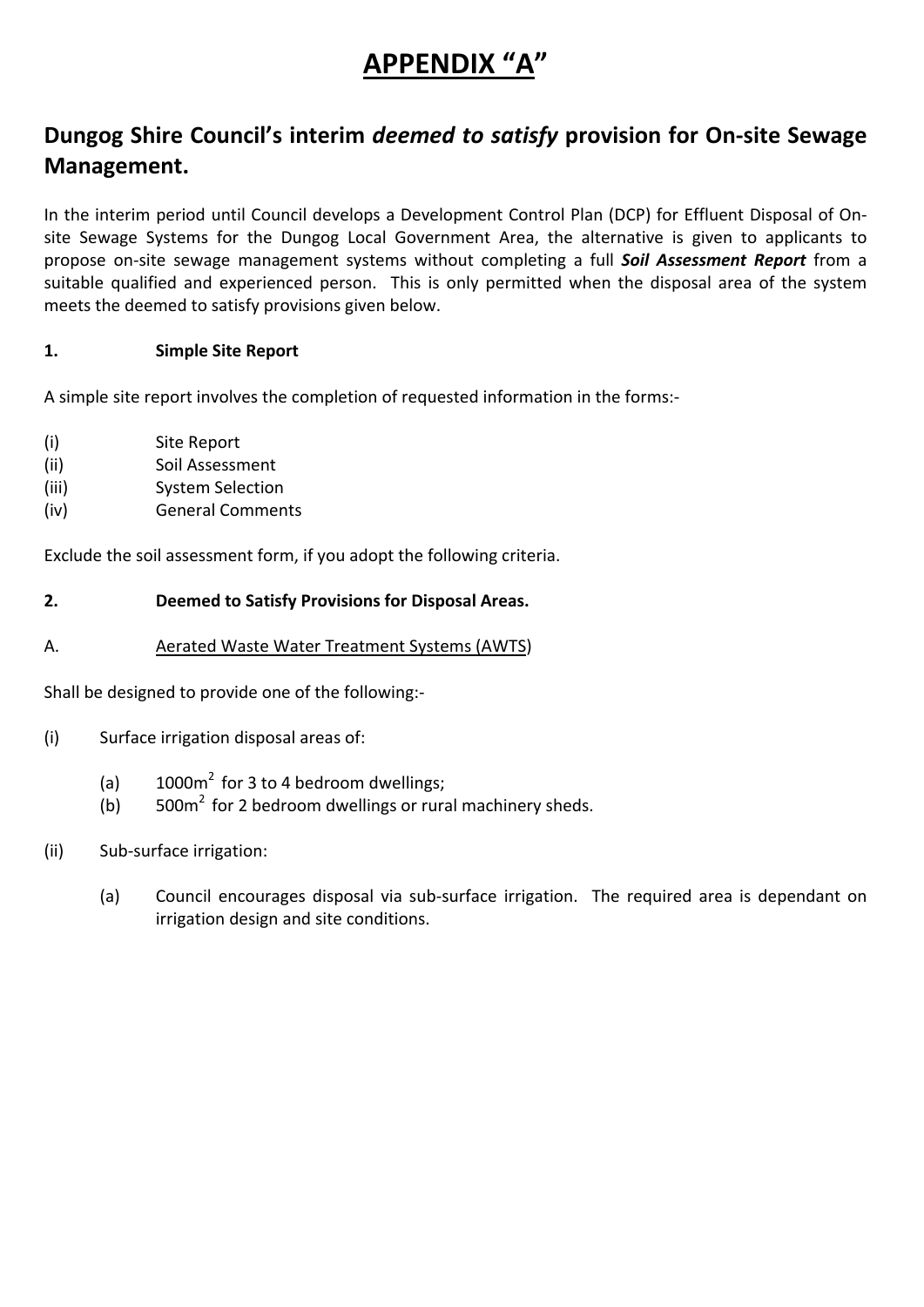# **APPENDIX "A"**

# **Dungog Shire Council's interim** *deemed to satisfy* **provision for On‐site Sewage Management.**

In the interim period until Council develops a Development Control Plan (DCP) for Effluent Disposal of On‐ site Sewage Systems for the Dungog Local Government Area, the alternative is given to applicants to propose on‐site sewage management systems without completing a full *Soil Assessment Report* from a suitable qualified and experienced person. This is only permitted when the disposal area of the system meets the deemed to satisfy provisions given below.

## **1. Simple Site Report**

A simple site report involves the completion of requested information in the forms:‐

- (i) Site Report
- (ii) Soil Assessment
- (iii) System Selection
- (iv) General Comments

Exclude the soil assessment form, if you adopt the following criteria.

### **2. Deemed to Satisfy Provisions for Disposal Areas.**

A. **A**erated Waste Water Treatment Systems (AWTS)

Shall be designed to provide one of the following:‐

- (i) Surface irrigation disposal areas of:
	- (a)  $1000m^2$  for 3 to 4 bedroom dwellings;
	- (b)  $500m^2$  for 2 bedroom dwellings or rural machinery sheds.
- (ii) Sub‐surface irrigation:
	- (a) Council encourages disposal via sub‐surface irrigation. The required area is dependant on irrigation design and site conditions.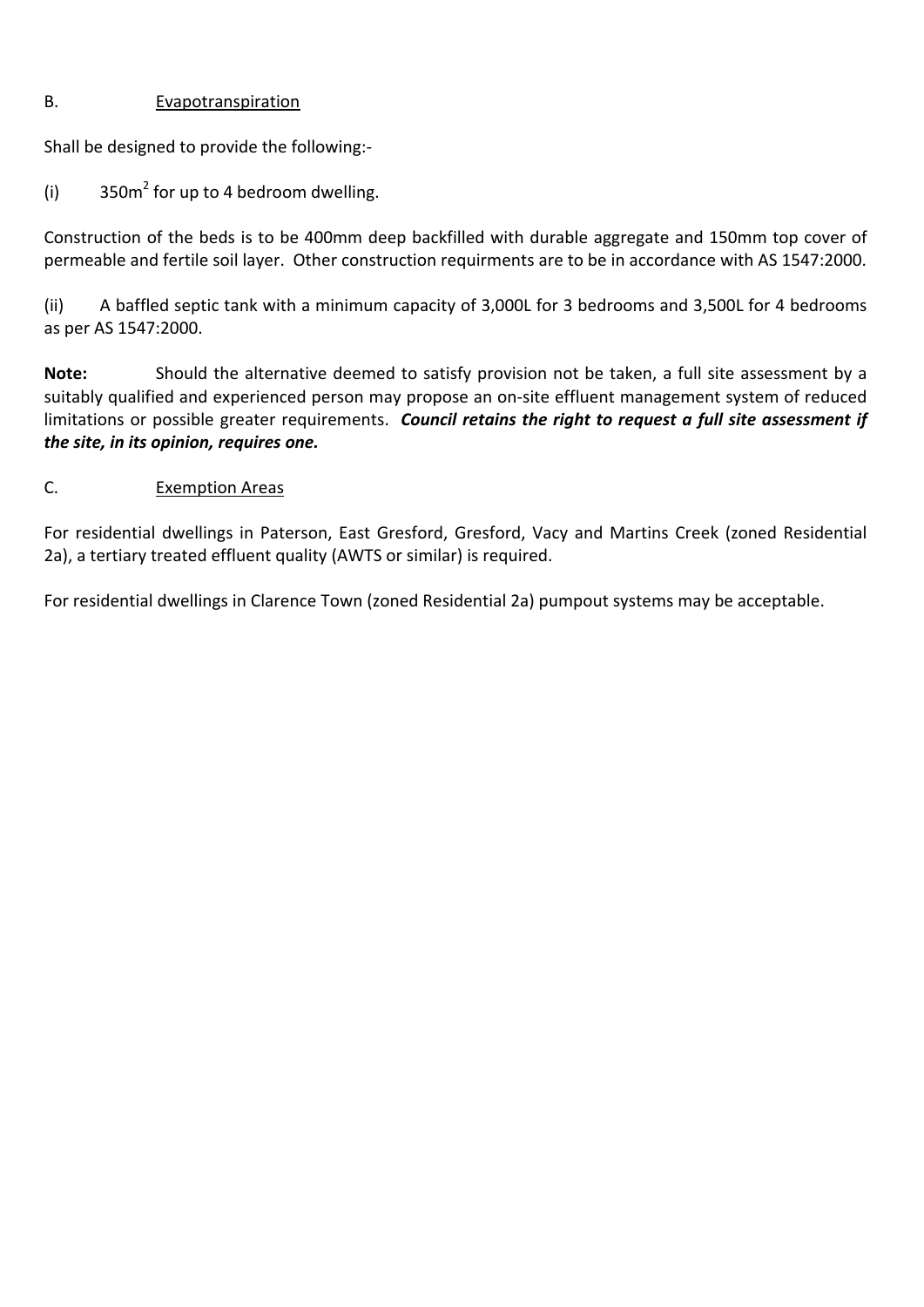### B. **Evapotranspiration**

Shall be designed to provide the following:‐

(i)  $350m^2$  for up to 4 bedroom dwelling.

Construction of the beds is to be 400mm deep backfilled with durable aggregate and 150mm top cover of permeable and fertile soil layer. Other construction requirments are to be in accordance with AS 1547:2000.

(ii) A baffled septic tank with a minimum capacity of 3,000L for 3 bedrooms and 3,500L for 4 bedrooms as per AS 1547:2000.

**Note:** Should the alternative deemed to satisfy provision not be taken, a full site assessment by a suitably qualified and experienced person may propose an on-site effluent management system of reduced limitations or possible greater requirements. *Council retains the right to request a full site assessment if the site, in its opinion, requires one.*

## C. **Exemption Areas**

For residential dwellings in Paterson, East Gresford, Gresford, Vacy and Martins Creek (zoned Residential 2a), a tertiary treated effluent quality (AWTS or similar) is required.

For residential dwellings in Clarence Town (zoned Residential 2a) pumpout systems may be acceptable.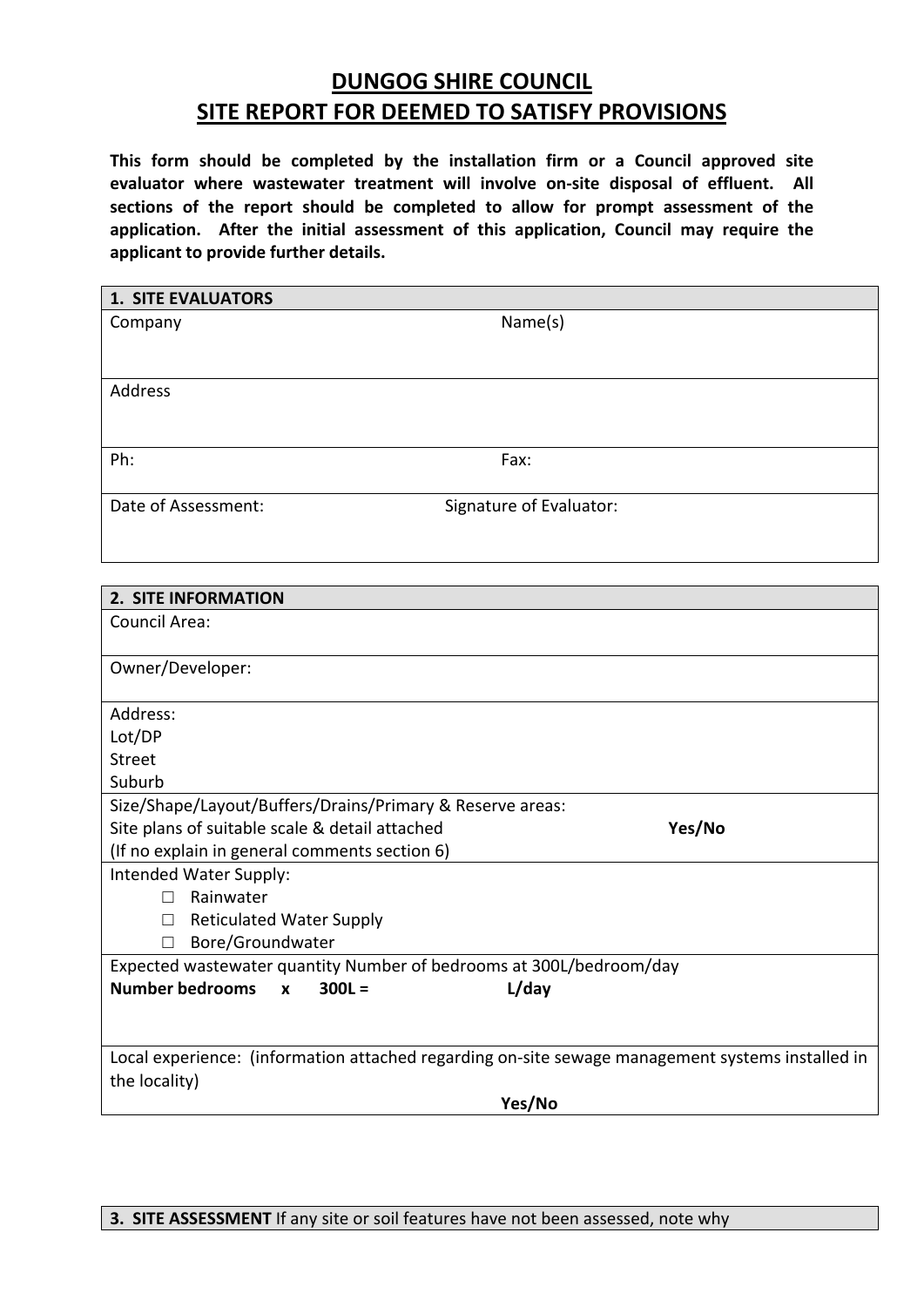# **DUNGOG SHIRE COUNCIL SITE REPORT FOR DEEMED TO SATISFY PROVISIONS**

**This form should be completed by the installation firm or a Council approved site evaluator where wastewater treatment will involve on‐site disposal of effluent. All sections of the report should be completed to allow for prompt assessment of the application. After the initial assessment of this application, Council may require the applicant to provide further details.** 

| <b>1. SITE EVALUATORS</b>                                                                        |                         |  |
|--------------------------------------------------------------------------------------------------|-------------------------|--|
| Company                                                                                          | Name(s)                 |  |
|                                                                                                  |                         |  |
| <b>Address</b>                                                                                   |                         |  |
|                                                                                                  |                         |  |
| Ph:                                                                                              | Fax:                    |  |
| Date of Assessment:                                                                              | Signature of Evaluator: |  |
|                                                                                                  |                         |  |
|                                                                                                  |                         |  |
| <b>2. SITE INFORMATION</b>                                                                       |                         |  |
| <b>Council Area:</b>                                                                             |                         |  |
| Owner/Developer:                                                                                 |                         |  |
| Address:                                                                                         |                         |  |
| Lot/DP                                                                                           |                         |  |
| <b>Street</b>                                                                                    |                         |  |
| Suburb                                                                                           |                         |  |
| Size/Shape/Layout/Buffers/Drains/Primary & Reserve areas:                                        |                         |  |
| Site plans of suitable scale & detail attached                                                   | Yes/No                  |  |
| (If no explain in general comments section 6)<br>Intended Water Supply:                          |                         |  |
| Rainwater<br>П                                                                                   |                         |  |
| <b>Reticulated Water Supply</b><br>$\Box$                                                        |                         |  |
| Bore/Groundwater<br>$\Box$                                                                       |                         |  |
| Expected wastewater quantity Number of bedrooms at 300L/bedroom/day                              |                         |  |
| <b>Number bedrooms</b><br>$300L =$<br>x                                                          | L/day                   |  |
|                                                                                                  |                         |  |
| Local experience: (information attached regarding on-site sewage management systems installed in |                         |  |
| the locality)                                                                                    |                         |  |
|                                                                                                  | Yes/No                  |  |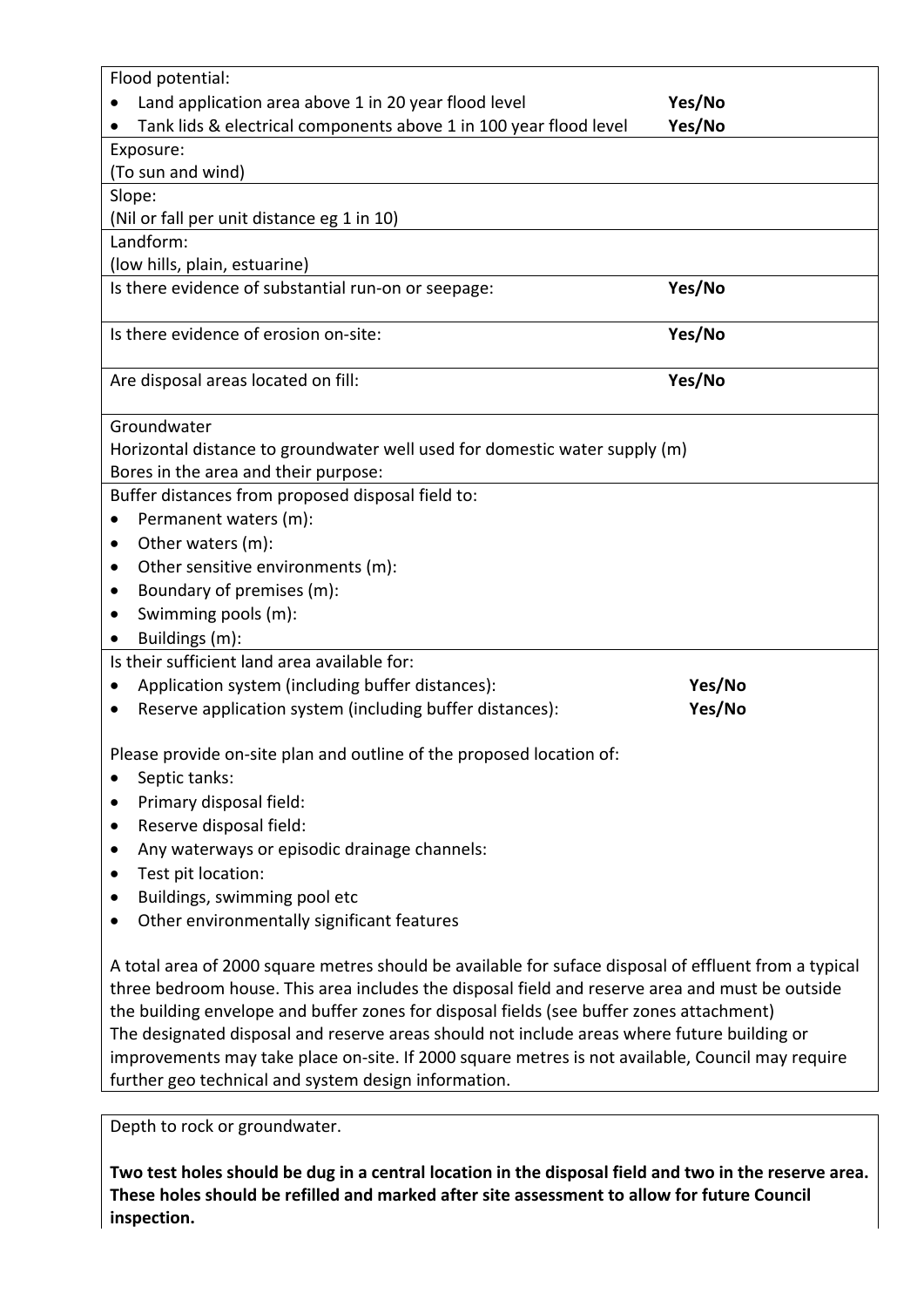| Flood potential:                                                                                                                                                                                                                                                                                                                                                                                    |        |  |
|-----------------------------------------------------------------------------------------------------------------------------------------------------------------------------------------------------------------------------------------------------------------------------------------------------------------------------------------------------------------------------------------------------|--------|--|
|                                                                                                                                                                                                                                                                                                                                                                                                     |        |  |
| Land application area above 1 in 20 year flood level                                                                                                                                                                                                                                                                                                                                                | Yes/No |  |
| Tank lids & electrical components above 1 in 100 year flood level                                                                                                                                                                                                                                                                                                                                   | Yes/No |  |
| Exposure:                                                                                                                                                                                                                                                                                                                                                                                           |        |  |
| (To sun and wind)                                                                                                                                                                                                                                                                                                                                                                                   |        |  |
| Slope:                                                                                                                                                                                                                                                                                                                                                                                              |        |  |
| (Nil or fall per unit distance eg 1 in 10)                                                                                                                                                                                                                                                                                                                                                          |        |  |
| Landform:                                                                                                                                                                                                                                                                                                                                                                                           |        |  |
| (low hills, plain, estuarine)                                                                                                                                                                                                                                                                                                                                                                       |        |  |
| Is there evidence of substantial run-on or seepage:                                                                                                                                                                                                                                                                                                                                                 | Yes/No |  |
| Is there evidence of erosion on-site:                                                                                                                                                                                                                                                                                                                                                               |        |  |
|                                                                                                                                                                                                                                                                                                                                                                                                     | Yes/No |  |
| Are disposal areas located on fill:                                                                                                                                                                                                                                                                                                                                                                 | Yes/No |  |
|                                                                                                                                                                                                                                                                                                                                                                                                     |        |  |
| Groundwater                                                                                                                                                                                                                                                                                                                                                                                         |        |  |
| Horizontal distance to groundwater well used for domestic water supply (m)                                                                                                                                                                                                                                                                                                                          |        |  |
| Bores in the area and their purpose:                                                                                                                                                                                                                                                                                                                                                                |        |  |
| Buffer distances from proposed disposal field to:                                                                                                                                                                                                                                                                                                                                                   |        |  |
| Permanent waters (m):                                                                                                                                                                                                                                                                                                                                                                               |        |  |
| Other waters (m):<br>٠                                                                                                                                                                                                                                                                                                                                                                              |        |  |
| Other sensitive environments (m):<br>٠                                                                                                                                                                                                                                                                                                                                                              |        |  |
| Boundary of premises (m):                                                                                                                                                                                                                                                                                                                                                                           |        |  |
| Swimming pools (m):                                                                                                                                                                                                                                                                                                                                                                                 |        |  |
| Buildings (m):                                                                                                                                                                                                                                                                                                                                                                                      |        |  |
| Is their sufficient land area available for:                                                                                                                                                                                                                                                                                                                                                        |        |  |
| Application system (including buffer distances):                                                                                                                                                                                                                                                                                                                                                    | Yes/No |  |
| Reserve application system (including buffer distances):                                                                                                                                                                                                                                                                                                                                            | Yes/No |  |
|                                                                                                                                                                                                                                                                                                                                                                                                     |        |  |
| Please provide on-site plan and outline of the proposed location of:                                                                                                                                                                                                                                                                                                                                |        |  |
| Septic tanks:<br>$\bullet$                                                                                                                                                                                                                                                                                                                                                                          |        |  |
| Primary disposal field:<br>$\bullet$                                                                                                                                                                                                                                                                                                                                                                |        |  |
| Reserve disposal field:<br>٠                                                                                                                                                                                                                                                                                                                                                                        |        |  |
| Any waterways or episodic drainage channels:<br>$\bullet$                                                                                                                                                                                                                                                                                                                                           |        |  |
| Test pit location:<br>$\bullet$                                                                                                                                                                                                                                                                                                                                                                     |        |  |
| Buildings, swimming pool etc<br>$\bullet$                                                                                                                                                                                                                                                                                                                                                           |        |  |
| Other environmentally significant features                                                                                                                                                                                                                                                                                                                                                          |        |  |
|                                                                                                                                                                                                                                                                                                                                                                                                     |        |  |
| A total area of 2000 square metres should be available for suface disposal of effluent from a typical<br>three bedroom house. This area includes the disposal field and reserve area and must be outside<br>the building envelope and buffer zones for disposal fields (see buffer zones attachment)<br>The designated disposal and reserve areas should not include areas where future building or |        |  |
| improvements may take place on-site. If 2000 square metres is not available, Council may require                                                                                                                                                                                                                                                                                                    |        |  |

Depth to rock or groundwater.

further geo technical and system design information.

Two test holes should be dug in a central location in the disposal field and two in the reserve area. **These holes should be refilled and marked after site assessment to allow for future Council inspection.**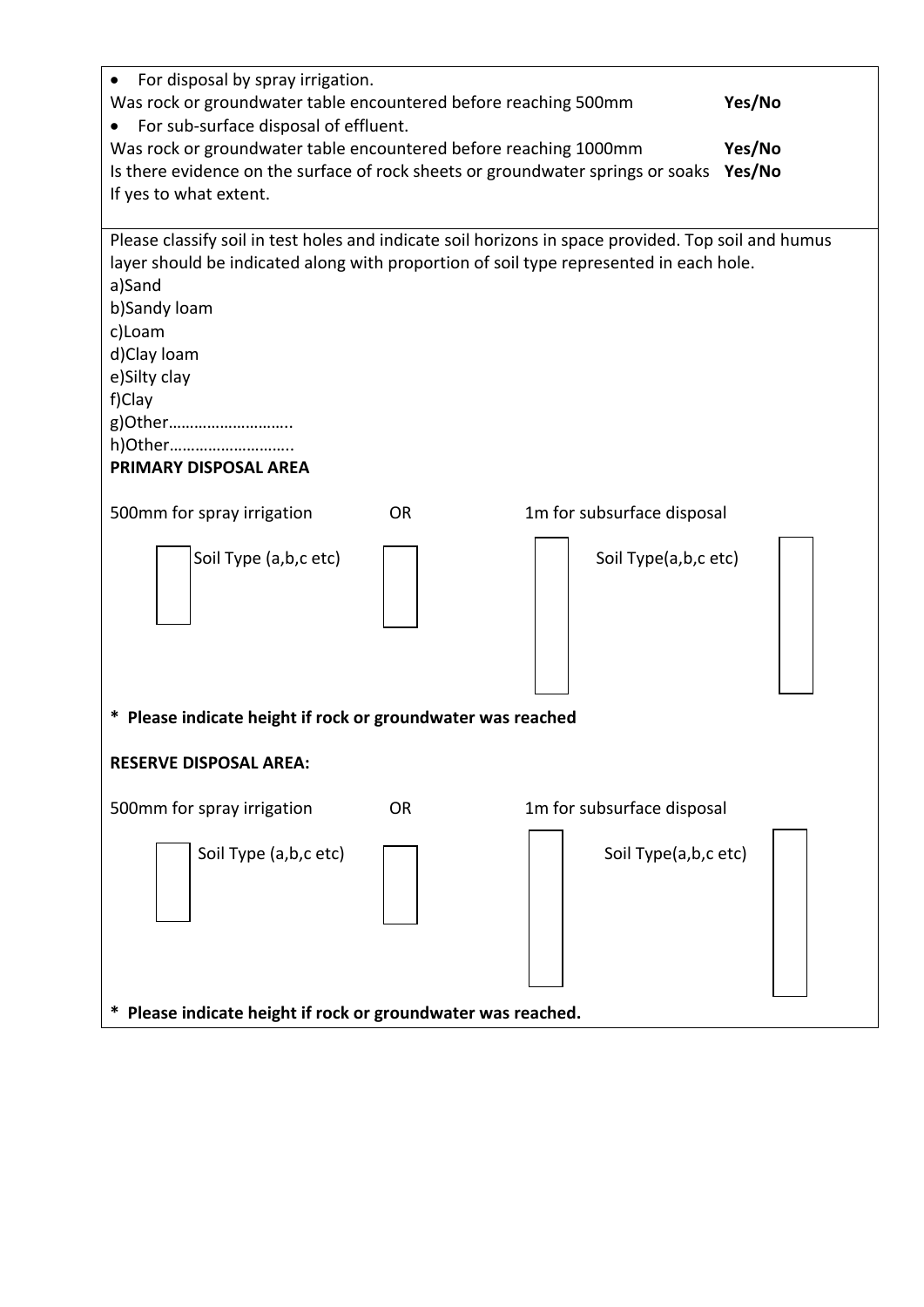| For disposal by spray irrigation.                                                                   |           |                            |        |
|-----------------------------------------------------------------------------------------------------|-----------|----------------------------|--------|
| Yes/No<br>Was rock or groundwater table encountered before reaching 500mm                           |           |                            |        |
| For sub-surface disposal of effluent.                                                               |           |                            |        |
| Was rock or groundwater table encountered before reaching 1000mm                                    |           |                            | Yes/No |
| Is there evidence on the surface of rock sheets or groundwater springs or soaks                     |           |                            | Yes/No |
| If yes to what extent.                                                                              |           |                            |        |
|                                                                                                     |           |                            |        |
| Please classify soil in test holes and indicate soil horizons in space provided. Top soil and humus |           |                            |        |
| layer should be indicated along with proportion of soil type represented in each hole.              |           |                            |        |
| a)Sand                                                                                              |           |                            |        |
| b)Sandy loam                                                                                        |           |                            |        |
| c)Loam                                                                                              |           |                            |        |
| d)Clay loam                                                                                         |           |                            |        |
| e)Silty clay                                                                                        |           |                            |        |
| f)Clay<br>g)Other                                                                                   |           |                            |        |
| h)Other                                                                                             |           |                            |        |
| PRIMARY DISPOSAL AREA                                                                               |           |                            |        |
|                                                                                                     |           |                            |        |
| 500mm for spray irrigation                                                                          | <b>OR</b> | 1m for subsurface disposal |        |
| Soil Type (a,b,c etc)                                                                               |           | Soil Type(a,b,c etc)       |        |
| * Please indicate height if rock or groundwater was reached                                         |           |                            |        |
|                                                                                                     |           |                            |        |
| <b>RESERVE DISPOSAL AREA:</b>                                                                       |           |                            |        |
| 500mm for spray irrigation                                                                          | <b>OR</b> | 1m for subsurface disposal |        |
| Soil Type (a,b,c etc)                                                                               |           | Soil Type(a,b,c etc)       |        |
| Please indicate height if rock or groundwater was reached.                                          |           |                            |        |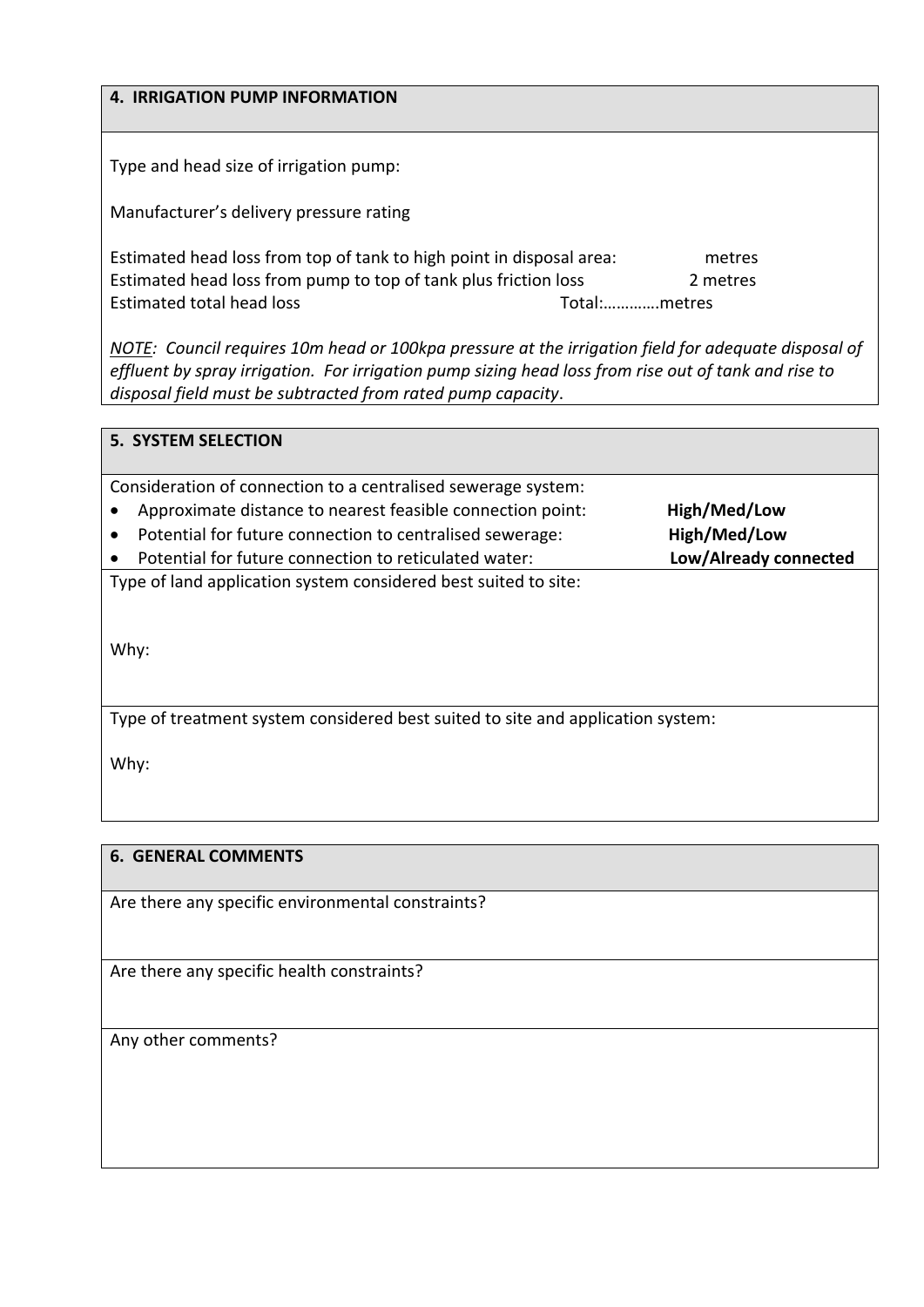| <b>4. IRRIGATION PUMP INFORMATION</b>                                                               |              |
|-----------------------------------------------------------------------------------------------------|--------------|
| Type and head size of irrigation pump:                                                              |              |
|                                                                                                     |              |
| Manufacturer's delivery pressure rating                                                             |              |
| Estimated head loss from top of tank to high point in disposal area:                                | metres       |
| Estimated head loss from pump to top of tank plus friction loss                                     | 2 metres     |
| Estimated total head loss                                                                           | Total:metres |
| NOTE: Council requires 10m head or 100kpg pressure at the irrigation field for adequate disposal of |              |

*NOTE: Council requires 10m head or 100kpa pressure at the irrigation field for adequate disposal of* effluent by spray irrigation. For irrigation pump sizing head loss from rise out of tank and rise to *disposal field must be subtracted from rated pump capacity*.

| <b>5. SYSTEM SELECTION</b>                                                      |                       |  |  |
|---------------------------------------------------------------------------------|-----------------------|--|--|
|                                                                                 |                       |  |  |
| Consideration of connection to a centralised sewerage system:                   |                       |  |  |
| Approximate distance to nearest feasible connection point:                      | High/Med/Low          |  |  |
| Potential for future connection to centralised sewerage:<br>$\bullet$           | High/Med/Low          |  |  |
| Potential for future connection to reticulated water:<br>$\bullet$              | Low/Already connected |  |  |
| Type of land application system considered best suited to site:                 |                       |  |  |
| Why:                                                                            |                       |  |  |
| Type of treatment system considered best suited to site and application system: |                       |  |  |
| Why:                                                                            |                       |  |  |

### **6. GENERAL COMMENTS**

Are there any specific environmental constraints?

Are there any specific health constraints?

Any other comments?